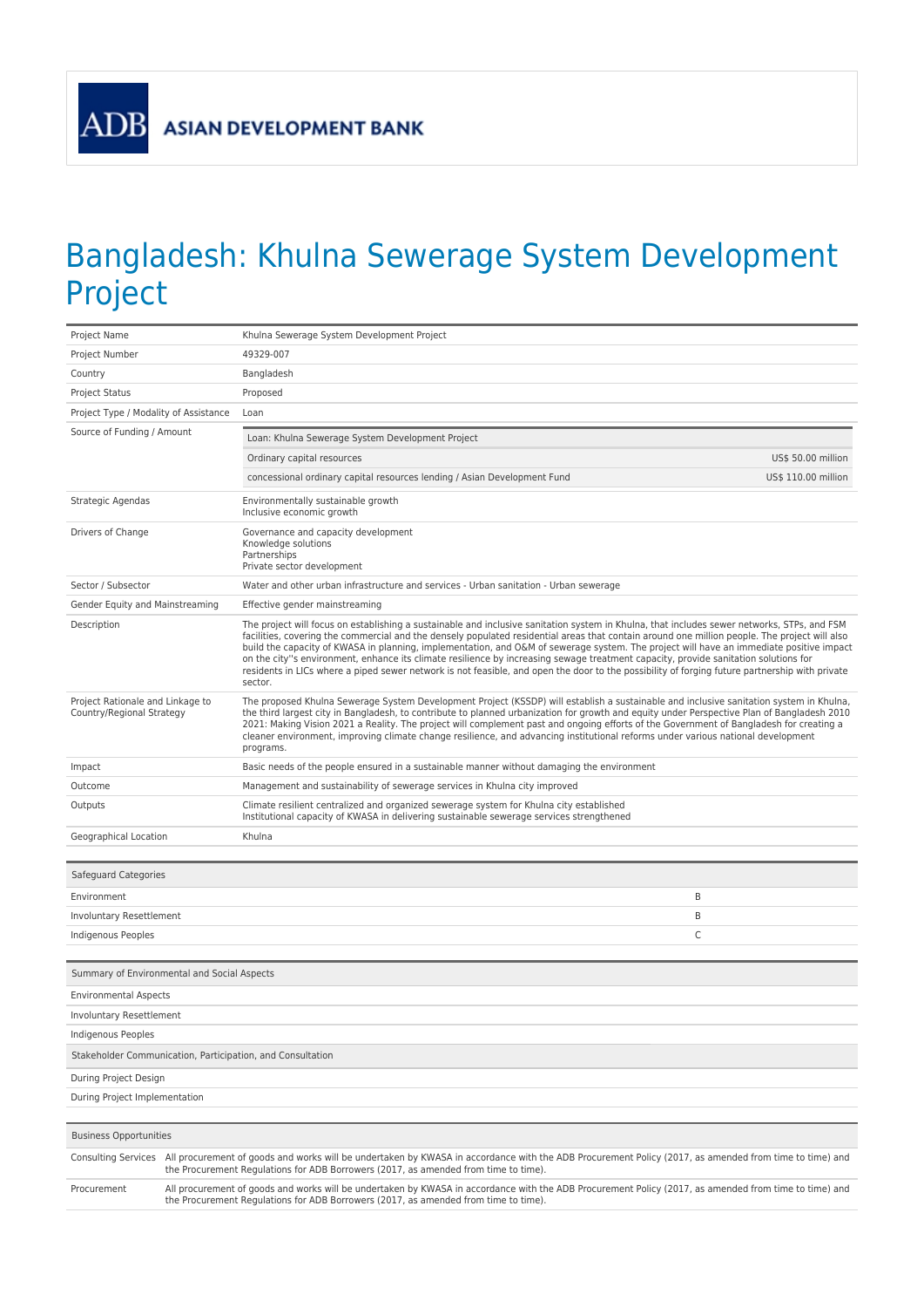ADB

## Bangladesh: Khulna Sewerage System Development Project

| Project Name                                                  |  | Khulna Sewerage System Development Project                                                                                                                                                                                                                                                                                                                                                                                                                                                                                                                                                                                                                                                                                                  |                     |  |  |
|---------------------------------------------------------------|--|---------------------------------------------------------------------------------------------------------------------------------------------------------------------------------------------------------------------------------------------------------------------------------------------------------------------------------------------------------------------------------------------------------------------------------------------------------------------------------------------------------------------------------------------------------------------------------------------------------------------------------------------------------------------------------------------------------------------------------------------|---------------------|--|--|
| Project Number                                                |  | 49329-007                                                                                                                                                                                                                                                                                                                                                                                                                                                                                                                                                                                                                                                                                                                                   |                     |  |  |
| Country                                                       |  | Bangladesh                                                                                                                                                                                                                                                                                                                                                                                                                                                                                                                                                                                                                                                                                                                                  |                     |  |  |
| <b>Project Status</b>                                         |  | Proposed                                                                                                                                                                                                                                                                                                                                                                                                                                                                                                                                                                                                                                                                                                                                    |                     |  |  |
| Project Type / Modality of Assistance                         |  | Loan                                                                                                                                                                                                                                                                                                                                                                                                                                                                                                                                                                                                                                                                                                                                        |                     |  |  |
| Source of Funding / Amount                                    |  | Loan: Khulna Sewerage System Development Project                                                                                                                                                                                                                                                                                                                                                                                                                                                                                                                                                                                                                                                                                            |                     |  |  |
|                                                               |  | Ordinary capital resources                                                                                                                                                                                                                                                                                                                                                                                                                                                                                                                                                                                                                                                                                                                  | US\$ 50.00 million  |  |  |
|                                                               |  | concessional ordinary capital resources lending / Asian Development Fund                                                                                                                                                                                                                                                                                                                                                                                                                                                                                                                                                                                                                                                                    | US\$ 110.00 million |  |  |
| Strategic Agendas                                             |  | Environmentally sustainable growth<br>Inclusive economic growth                                                                                                                                                                                                                                                                                                                                                                                                                                                                                                                                                                                                                                                                             |                     |  |  |
| Drivers of Change                                             |  | Governance and capacity development<br>Knowledge solutions<br>Partnerships<br>Private sector development                                                                                                                                                                                                                                                                                                                                                                                                                                                                                                                                                                                                                                    |                     |  |  |
| Sector / Subsector                                            |  | Water and other urban infrastructure and services - Urban sanitation - Urban sewerage                                                                                                                                                                                                                                                                                                                                                                                                                                                                                                                                                                                                                                                       |                     |  |  |
| Gender Equity and Mainstreaming                               |  | Effective gender mainstreaming                                                                                                                                                                                                                                                                                                                                                                                                                                                                                                                                                                                                                                                                                                              |                     |  |  |
| Description                                                   |  | The project will focus on establishing a sustainable and inclusive sanitation system in Khulna, that includes sewer networks, STPs, and FSM<br>facilities, covering the commercial and the densely populated residential areas that contain around one million people. The project will also<br>build the capacity of KWASA in planning, implementation, and O&M of sewerage system. The project will have an immediate positive impact<br>on the city"s environment, enhance its climate resilience by increasing sewage treatment capacity, provide sanitation solutions for<br>residents in LICs where a piped sewer network is not feasible, and open the door to the possibility of forging future partnership with private<br>sector. |                     |  |  |
| Project Rationale and Linkage to<br>Country/Regional Strategy |  | The proposed Khulna Sewerage System Development Project (KSSDP) will establish a sustainable and inclusive sanitation system in Khulna,<br>the third largest city in Bangladesh, to contribute to planned urbanization for growth and equity under Perspective Plan of Bangladesh 2010<br>2021: Making Vision 2021 a Reality. The project will complement past and ongoing efforts of the Government of Bangladesh for creating a<br>cleaner environment, improving climate change resilience, and advancing institutional reforms under various national development<br>programs.                                                                                                                                                          |                     |  |  |
| Impact                                                        |  | Basic needs of the people ensured in a sustainable manner without damaging the environment                                                                                                                                                                                                                                                                                                                                                                                                                                                                                                                                                                                                                                                  |                     |  |  |
| Outcome                                                       |  | Management and sustainability of sewerage services in Khulna city improved                                                                                                                                                                                                                                                                                                                                                                                                                                                                                                                                                                                                                                                                  |                     |  |  |
| Outputs                                                       |  | Climate resilient centralized and organized sewerage system for Khulna city established<br>Institutional capacity of KWASA in delivering sustainable sewerage services strengthened                                                                                                                                                                                                                                                                                                                                                                                                                                                                                                                                                         |                     |  |  |
| Geographical Location                                         |  | Khulna                                                                                                                                                                                                                                                                                                                                                                                                                                                                                                                                                                                                                                                                                                                                      |                     |  |  |
|                                                               |  |                                                                                                                                                                                                                                                                                                                                                                                                                                                                                                                                                                                                                                                                                                                                             |                     |  |  |
| Safeguard Categories                                          |  |                                                                                                                                                                                                                                                                                                                                                                                                                                                                                                                                                                                                                                                                                                                                             |                     |  |  |
| Environment                                                   |  |                                                                                                                                                                                                                                                                                                                                                                                                                                                                                                                                                                                                                                                                                                                                             | B                   |  |  |
| Involuntary Resettlement                                      |  |                                                                                                                                                                                                                                                                                                                                                                                                                                                                                                                                                                                                                                                                                                                                             | B                   |  |  |
| Indigenous Peoples                                            |  |                                                                                                                                                                                                                                                                                                                                                                                                                                                                                                                                                                                                                                                                                                                                             | C                   |  |  |
|                                                               |  |                                                                                                                                                                                                                                                                                                                                                                                                                                                                                                                                                                                                                                                                                                                                             |                     |  |  |
| Summary of Environmental and Social Aspects                   |  |                                                                                                                                                                                                                                                                                                                                                                                                                                                                                                                                                                                                                                                                                                                                             |                     |  |  |
| <b>Environmental Aspects</b>                                  |  |                                                                                                                                                                                                                                                                                                                                                                                                                                                                                                                                                                                                                                                                                                                                             |                     |  |  |
| Involuntary Resettlement                                      |  |                                                                                                                                                                                                                                                                                                                                                                                                                                                                                                                                                                                                                                                                                                                                             |                     |  |  |
| Indigenous Peoples                                            |  |                                                                                                                                                                                                                                                                                                                                                                                                                                                                                                                                                                                                                                                                                                                                             |                     |  |  |
| Stakeholder Communication, Participation, and Consultation    |  |                                                                                                                                                                                                                                                                                                                                                                                                                                                                                                                                                                                                                                                                                                                                             |                     |  |  |
| During Project Design                                         |  |                                                                                                                                                                                                                                                                                                                                                                                                                                                                                                                                                                                                                                                                                                                                             |                     |  |  |
| During Project Implementation                                 |  |                                                                                                                                                                                                                                                                                                                                                                                                                                                                                                                                                                                                                                                                                                                                             |                     |  |  |
|                                                               |  |                                                                                                                                                                                                                                                                                                                                                                                                                                                                                                                                                                                                                                                                                                                                             |                     |  |  |
| <b>Business Opportunities</b>                                 |  |                                                                                                                                                                                                                                                                                                                                                                                                                                                                                                                                                                                                                                                                                                                                             |                     |  |  |
|                                                               |  | Consulting Services All procurement of goods and works will be undertaken by KWASA in accordance with the ADB Procurement Policy (2017, as amended from time to time) and<br>the Procurement Regulations for ADB Borrowers (2017, as amended from time to time).                                                                                                                                                                                                                                                                                                                                                                                                                                                                            |                     |  |  |
| Procurement                                                   |  | All procurement of goods and works will be undertaken by KWASA in accordance with the ADB Procurement Policy (2017, as amended from time to time) and<br>the Procurement Regulations for ADB Borrowers (2017, as amended from time to time).                                                                                                                                                                                                                                                                                                                                                                                                                                                                                                |                     |  |  |